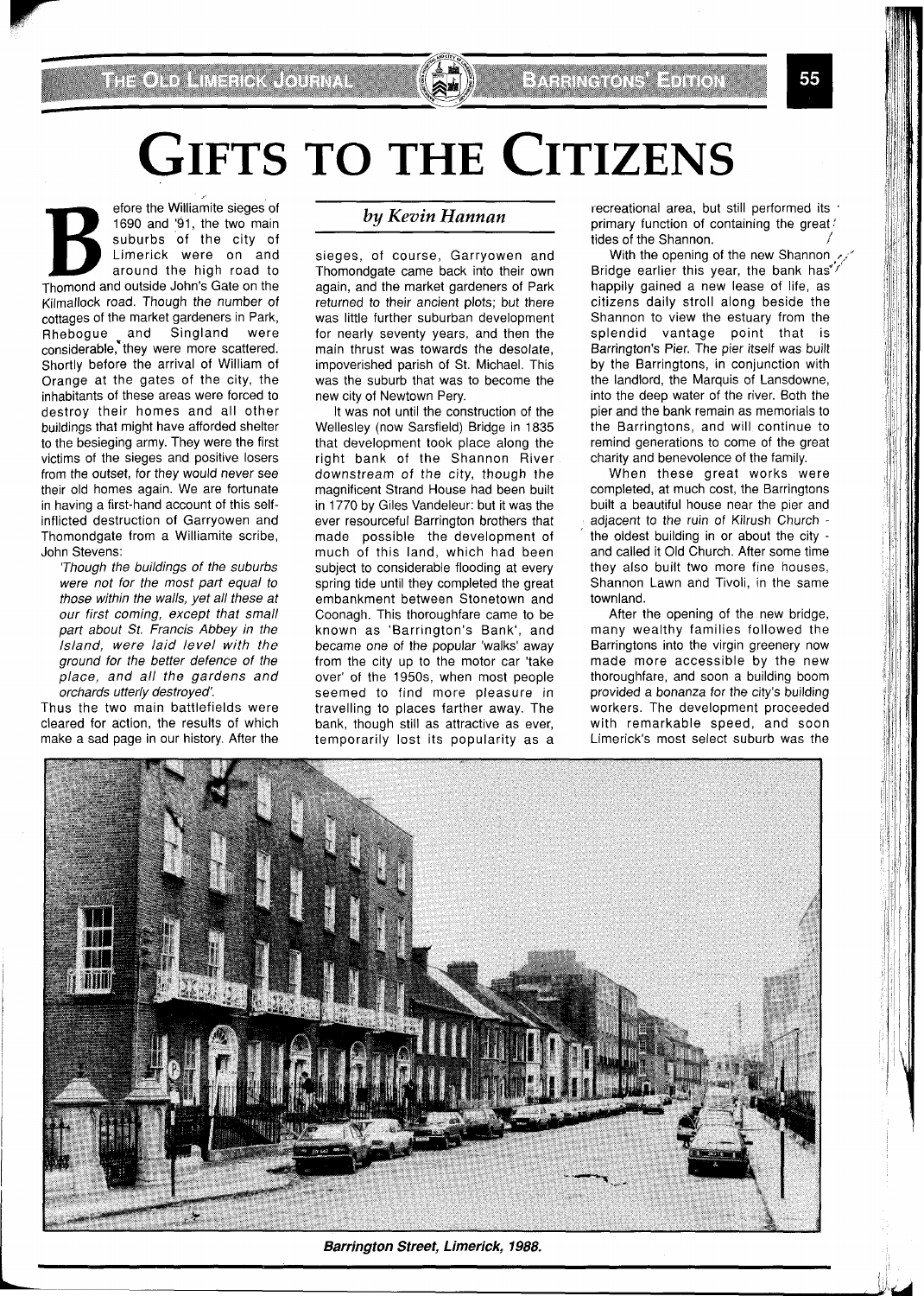## **GIFTS TO THE CITIZENS**

France the Williamite sieges of 1690 and '91, the two main suburbs of the city of Limerick were on and around the high road to Thomond and outside John's Gate on the 1690 and '91, the two main suburbs of the city of Limerick were on and around the high road to Kilmallock road. Though the number of cottages of the market gardeners in Park, Rhebogue and Singland were considerable,\*they were more scattered. Shortly before the arrival of William of Orange at the gates of the city, the inhabitants of these areas were forced to destroy their homes and all other buildings that might have afforded shelter to the besieging army. They were the first victims of the sieges and positive losers from the outset, for they would never see their old homes again. We are fortunate in having a first-hand account of this selfinflicted destruction of Garryowen and Thomondgate from a Williamite scribe, John Stevens:

'Though the buildings of the suburbs were not for the most part equal to those within the walls, yet all these at our first coming, except that small part about St. Francis Abbey in the Island, were laid level with the ground for the better defence of the place, and all the gardens and orchards utterly destroyed:

Thus the two main battlefields were cleared for action, the results of which make a sad page in our history. After the

## *by Kevin Hannan*

sieges, of course, Garryowen and Thomondgate came back into their own again, and the market gardeners of Park returned to their ancient plots; but there was little further suburban development for nearly seventy years, and then the main thrust was towards the desolate, impoverished parish of St. Michael. This was the suburb that was to become the new city of Newtown Pery.

It was not until the construction of the Wellesley (now Sarsfield) Bridge in 1835 that development took place along the right bank of the Shannon River downstream of the city, though the magnificent Strand House had been built in 1770 by Giles Vandeleur: but it was the ever resourceful Barrington brothers that made possible the development of much of this land, which had been subject to considerable flooding at every spring tide until they completed the great embankment between Stonetown and Coonagh. This thoroughfare came to be known as 'Barrington's Bank', and became one of the popular 'walks' away from the city up to the motor car 'take over' of the 1950s, when most people seemed to find more pleasure in travelling to places farther away. The bank, though still as attractive as ever, temporarily lost its popularity as a recreational area, but still performed its ' primary function of containing the great? tides of the Shannon.

With the opening of the new Shannon , Bridge earlier this year, the bank has" happily gained a new lease of life, as citizens daily stroll along beside the Shannon to view the estuary from the splendid vantage point that is Barrington's Pier. The pier itself was built by the Barringtons, in conjunction with the landlord, the Marquis of Lansdowne, into the deep water of the river. Both the pier and the bank remain as memorials to the Barringtons, and will continue to remind generations to come of the great charity and benevolence of the family.

When these great works were completed, at much cost, the Barringtons built a beautiful house near the pier and adjacent to the ruin of Kilrush Church the oldest building in or about the city and called it Old Church. After some time they also built two more fine houses, Shannon Lawn and Tivoli, in the same townland.

After the opening of the new bridge, many wealthy families followed the Barringtons into the virgin greenery now made more accessible by the new thoroughfare, and soon a building boom provided a bonanza for the city's building workers. The development proceeded with remarkable speed, and soon Limerick's most select suburb was the



*Barrington Street, Limerick, 1988,*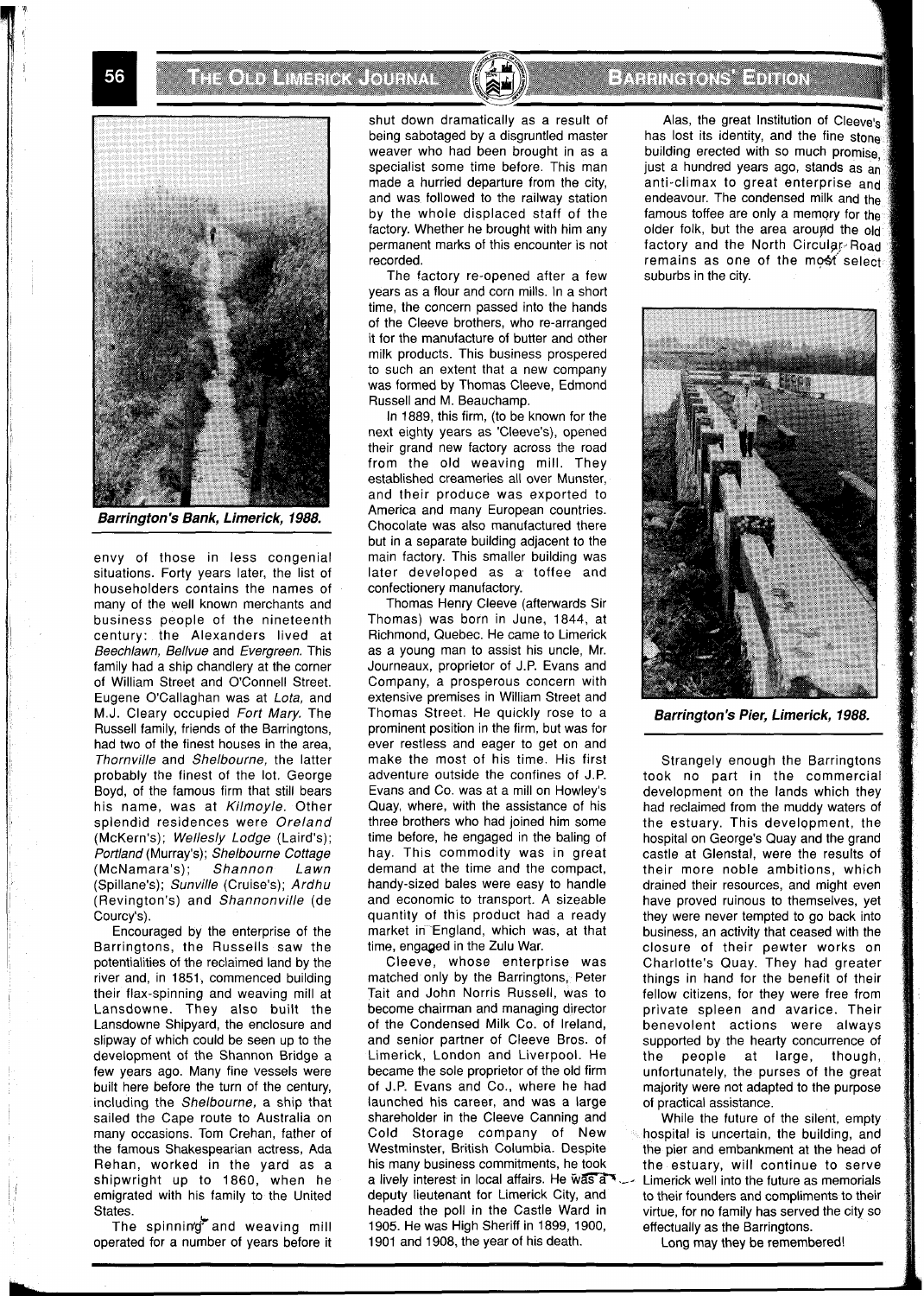**THE ORD MINERAL ORDER** 



**Barrington** 's **Bank, Limerick, 1988.** 

envy of those in less congenial situations. Forty years later, the list of householders contains the names of many of the well known merchants and business people of the nineteenth century: the Alexanders lived at Beechlawn, Bellvue and Evergreen. This family had a ship chandlery at the corner of William Street and O'Connell Street. Eugene O'Callaghan was at Lota, and M.J. Cleary occupied Fort Mary. The Russell family, friends of the Barringtons, had two of the finest houses in the area, Thornville and Shelbourne, the latter probably the finest of the lot. George Boyd, of the famous firm that still bears his name, was at Kilmoyle. Other splendid residences were Oreland (McKern's); Wellesly Lodge (Laird's); Portland (Murray's); Shelbourne Cottage<br>(McNamara's); Shannon Lawn (McNamara's); Shannon Lawn (Spillane's); Sunville (Cruise's); Ardhu (Revington's) and Shannonville (de Courcy's).

Encouraged by the enterprise of the Barringtons, the Russells saw the potentialities of the reclaimed land by the river and, in 1851, commenced building their flax-spinning and weaving mill at Lansdowne. They also built the Lansdowne Shipyard, the enclosure and slipway of which could be seen up to the development of the Shannon Bridge a few years ago. Many fine vessels were built here before the turn of the century, including the Shelbourne, a ship that sailed the Cape route to Australia on many occasions. Tom Crehan, father of the famous Shakespearian actress, Ada Rehan, worked in the yard as a shipwright up to 1860, when he emigrated with his family to the United States.

The spinning and weaving mill operated for a number of years before it

shut down dramatically as a result of being sabotaged by a disgruntled master weaver who had been brought in as a specialist some time before. This man made a hurried departure from the city, and was followed to the railway station by the whole displaced staff of the factory. Whether he brought with him any permanent marks of this encounter is not recorded.

The factory re-opened after a few years as a flour and corn mills. In a short time, the concern passed into the hands of the Cleeve brothers, who re-arranged it for the manufacture of butter and other milk products. This business prospered to such an extent that a new company was formed by Thomas Cleeve, Edmond Russell and M. Beauchamp.

In 1889, this firm, (to be known for the next eighty years as 'Cleeve's), opened their grand new factory across the road from the old weaving mill. They established creameries all over Munster, and their produce was exported to America and many European countries. Chocolate was also manufactured there but in a separate building adjacent to the main factory. This smaller building was later developed as a toffee and confectionery manufactory.

Thomas Henry Cleeve (afterwards Sir Thomas) was born in June, 1844, at Richmond, Quebec. He came to Limerick as a young man to assist his uncle, Mr. Journeaux, proprietor of J.P. Evans and Company, a prosperous concern with extensive premises in William Street and Thomas Street. He quickly rose to a prominent position in the firm, but was for ever restless and eager to get on and make the most of his time. His first adventure outside the confines of J.P. Evans and Co. was at a mill on Howley's Quay, where, with the assistance of his three brothers who had joined him some time before, he engaged in the baling of hay. This commodity was in great demand at the time and the compact, handy-sized bales were easy to handle and economic to transport. A sizeable quantity of this product had a ready market in-England, which was, at that time, engaged in the Zulu War.

Cleeve, whose enterprise was matched only by the Barringtons, Peter Tait and John Norris Russell, was to become chairman and managing director of the Condensed Milk Co. of Ireland, and senior partner of Cleeve Bros. of Limerick, London and Liverpool. He became the sole proprietor of the old firm of J.P. Evans and Co., where he had launched his career, and was a large shareholder in the Cleeve Canning and Cold Storage company of New Westminster, British Columbia. Despite his many business commitments, he took a lively interest in local affairs. He  $\widetilde{w}$  and  $\widetilde{w}$  ... Limerick well into the future as memorials deputy lieutenant for Limerick City, and to their founders and compliments to their headed the poll in the Castle Ward in virtue, for no family has served the city so 1905. He was High Sheriff in 1899, 1900, effectually as the Barringtons.<br>1901 and 1908, the year of his death. Long may they be rememb

## **Extractors Editor**

Alas, the great Institution of Cleeve's has lost its identity, and the fine stones building erected with so much promise. just a hundred years ago, stands as an anti-climax to great enterprise and endeavour. The condensed milk and the famous toffee are only a memory for the older folk, but the area around the old factory and the North Circular Road  $remains$  as one of the most selects suburbs in the city.



**Barrington's Pier, Limerick, 1988.** 

Strangely enough the Barringtons took no part in the commercial development on the lands which they had reclaimed from the muddy waters of the estuary. This development, the hospital on George's Quay and the grand castle at Glenstal, were the results of their more noble ambitions, which drained their resources, and might even have proved ruinous to themselves, yet they were never tempted to go back into business, an activity that ceased with the closure of their pewter works on Charlotte's Quay. They had greater things in hand for the benefit of their fellow citizens, for they were free from private spleen and avarice. Their benevolent actions were always supported by the hearty concurrence of the people at large, though, unfortunately, the purses of the great majority were not adapted to the purpose of practical assistance.

While the future of the silent, empty hospital is uncertain, the building, and the pier and embankment at the head of the estuary, will continue to serve to their founders and compliments to their

Long may they be remembered!

56